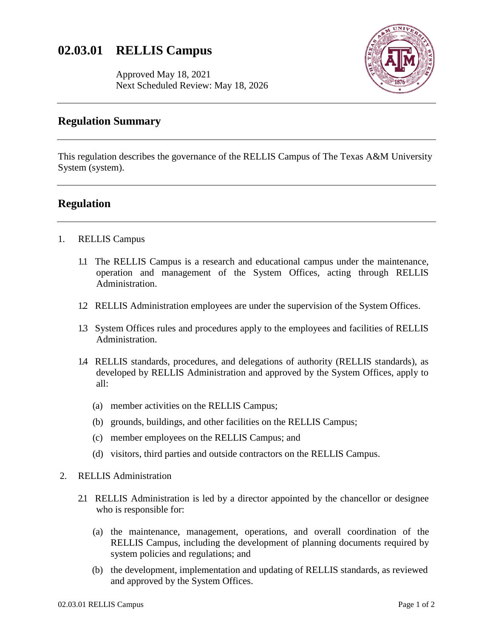# **02.03.01 RELLIS Campus**

Approved May 18, 2021 Next Scheduled Review: May 18, 2026



## **Regulation Summary**

This regulation describes the governance of the RELLIS Campus of The Texas A&M University System (system).

### **Regulation**

- 1. RELLIS Campus
	- 1.1 The RELLIS Campus is a research and educational campus under the maintenance, operation and management of the System Offices, acting through RELLIS Administration.
	- 1.2 RELLIS Administration employees are under the supervision of the System Offices.
	- 1.3 System Offices rules and procedures apply to the employees and facilities of RELLIS Administration.
	- 1.4 RELLIS standards, procedures, and delegations of authority (RELLIS standards), as developed by RELLIS Administration and approved by the System Offices, apply to all:
		- (a) member activities on the RELLIS Campus;
		- (b) grounds, buildings, and other facilities on the RELLIS Campus;
		- (c) member employees on the RELLIS Campus; and
		- (d) visitors, third parties and outside contractors on the RELLIS Campus.
- 2. RELLIS Administration
	- 2.1 RELLIS Administration is led by a director appointed by the chancellor or designee who is responsible for:
		- (a) the maintenance, management, operations, and overall coordination of the RELLIS Campus, including the development of planning documents required by system policies and regulations; and
		- (b) the development, implementation and updating of RELLIS standards, as reviewed and approved by the System Offices.